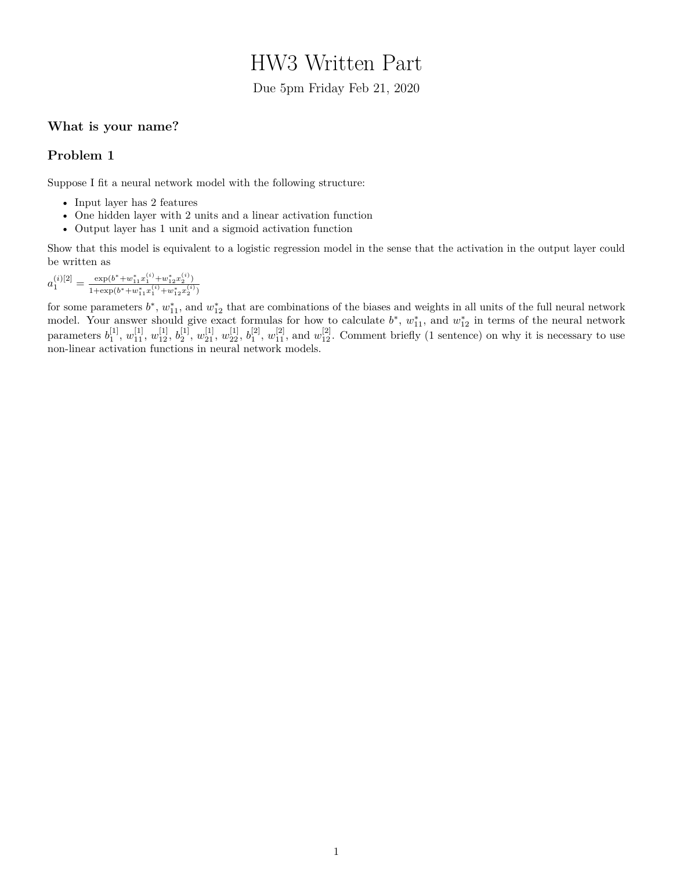# HW3 Written Part

Due 5pm Friday Feb 21, 2020

### **What is your name?**

#### **Problem 1**

Suppose I fit a neural network model with the following structure:

- Input layer has 2 features
- One hidden layer with 2 units and a linear activation function
- Output layer has 1 unit and a sigmoid activation function

Show that this model is equivalent to a logistic regression model in the sense that the activation in the output layer could be written as

$$
a_1^{(i)[2]} = \frac{\exp(b^* + w_{11}^* x_1^{(i)} + w_{12}^* x_2^{(i)})}{1 + \exp(b^* + w_{11}^* x_1^{(i)} + w_{12}^* x_2^{(i)})}
$$

for some parameters  $b^*$ ,  $w_{11}^*$ , and  $w_{12}^*$  that are combinations of the biases and weights in all units of the full neural network model. Your answer should give exact formulas for how to calculate  $b^*$ ,  $w_{11}^*$ , and  $w_{12}^*$  in terms of the neural network parameters  $b_1^{[1]}$ ,  $w_{11}^{[1]}$ ,  $w_{12}^{[1]}$ ,  $b_2^{[1]}$ ,  $w_{21}^{[1]}$ ,  $w_{22}^{[1]}$ ,  $b_1^{[2]}$ ,  $w_{11}^{[2]}$ , and  $w_{12}^{[2]}$ . Comment briefly (1 sentence) on why it is necessary to use non-linear activation functions in neural network models.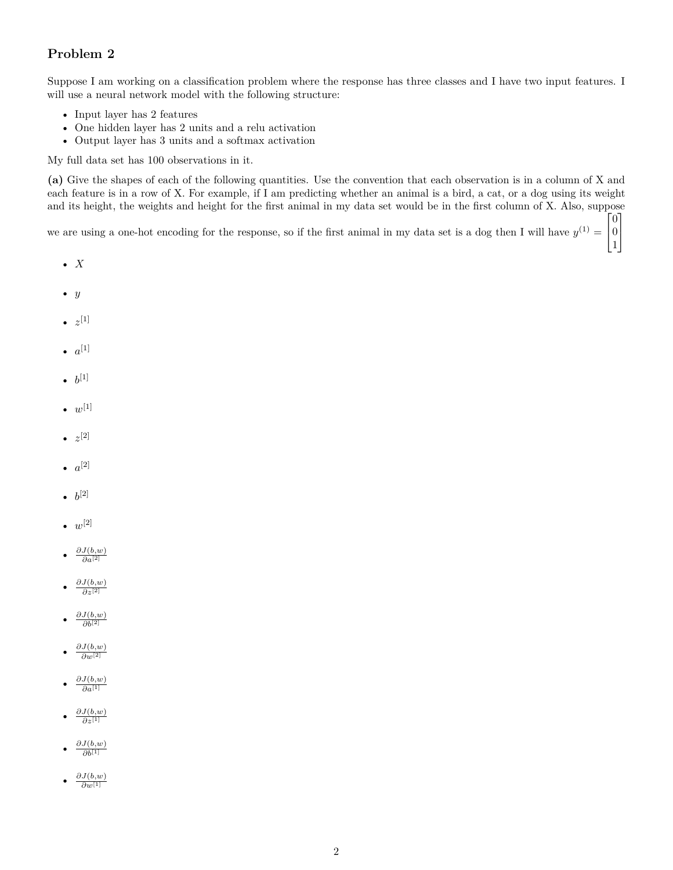## **Problem 2**

Suppose I am working on a classification problem where the response has three classes and I have two input features. I will use a neural network model with the following structure:

- Input layer has 2 features
- One hidden layer has 2 units and a relu activation
- Output layer has 3 units and a softmax activation

My full data set has 100 observations in it.

**(a)** Give the shapes of each of the following quantities. Use the convention that each observation is in a column of X and each feature is in a row of X. For example, if I am predicting whether an animal is a bird, a cat, or a dog using its weight and its height, the weights and height for the first animal in my data set would be in the first column of X. Also, suppose  $\lceil 0 \rceil$ 

we are using a one-hot encoding for the response, so if the first animal in my data set is a dog then I will have  $y^{(1)} =$  $\left| \begin{array}{c} 0 \\ 1 \end{array} \right|$  $\begin{matrix} 0 \\ 1 \end{matrix}$ 

- *X*
- *y*
- $\bullet \ \ z^{[1]}$
- $a^{[1]}$
- $b^{[1]}$
- $w^{[1]}$
- $\bullet \ \ z^{[2]}$
- $a^{[2]}$
- $b^{[2]}$
- $w^{[2]}$
- *∂J*(*b,w*) *∂a*[2]
- *∂J*(*b,w*) *∂z*[2]
- *∂J*(*b,w*) *∂b*[2]
- *∂J*(*b,w*) *∂w*[2]
- *∂J*(*b,w*) *∂a*[1]
- *∂J*(*b,w*) *∂z*[1]
- *∂J*(*b,w*) *∂b*[1]
- *∂J*(*b,w*) *∂w*[1]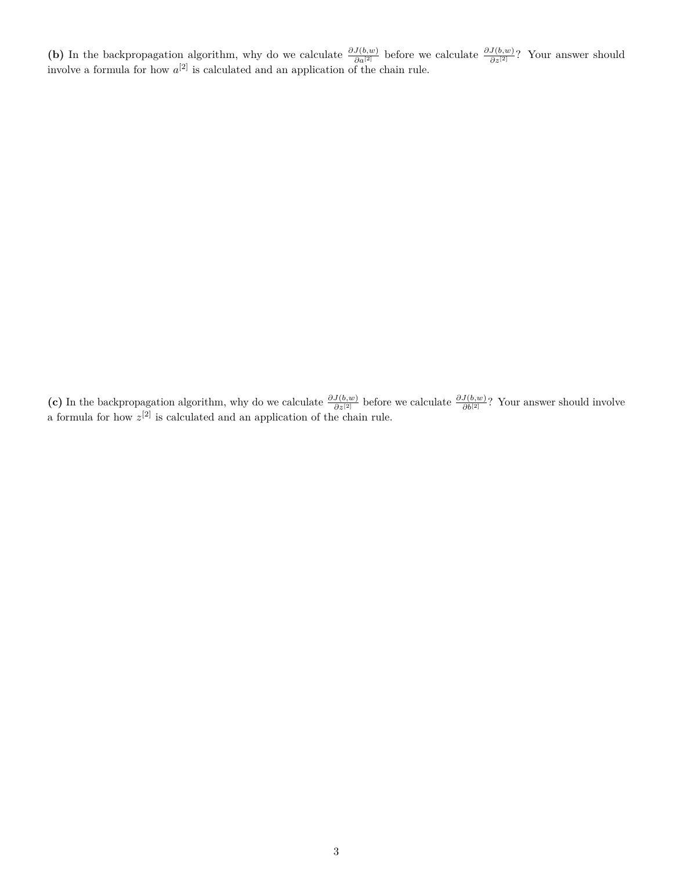(b) In the backpropagation algorithm, why do we calculate  $\frac{\partial J(b,w)}{\partial a^{[2]}}$  before we calculate  $\frac{\partial J(b,w)}{\partial z^{[2]}}$ ? Your answer should involve a formula for how  $a^{[2]}$  is calculated and an application of the chain rule.

(c) In the backpropagation algorithm, why do we calculate  $\frac{\partial J(b,w)}{\partial z^{[2]}}$  before we calculate  $\frac{\partial J(b,w)}{\partial b^{[2]}}$ ? Your answer should involve a formula for how  $z^{[2]}$  is calculated and an application of the chain rule.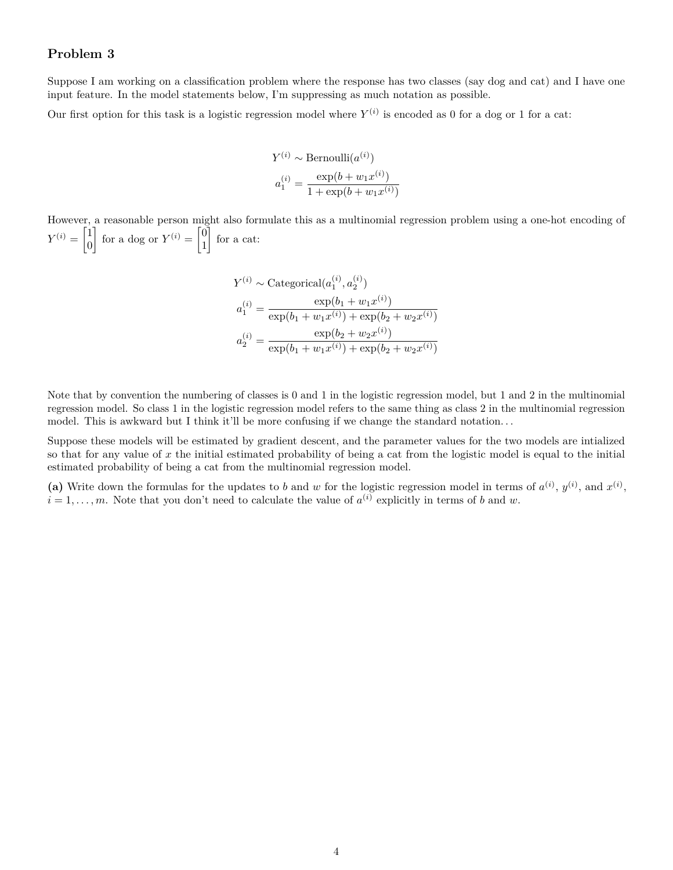#### **Problem 3**

Suppose I am working on a classification problem where the response has two classes (say dog and cat) and I have one input feature. In the model statements below, I'm suppressing as much notation as possible.

Our first option for this task is a logistic regression model where  $Y^{(i)}$  is encoded as 0 for a dog or 1 for a cat:

$$
Y^{(i)} \sim \text{Bernoulli}(a^{(i)})
$$

$$
a_1^{(i)} = \frac{\exp(b + w_1 x^{(i)})}{1 + \exp(b + w_1 x^{(i)})}
$$

However, a reasonable person might also formulate this as a multinomial regression problem using a one-hot encoding of  $Y^{(i)} = \begin{bmatrix} 1 \\ 0 \end{bmatrix}$ 0 for a dog or  $Y^{(i)} = \begin{bmatrix} 0 \\ 1 \end{bmatrix}$ 1 for a cat:

$$
Y^{(i)} \sim \text{Categorical}(a_1^{(i)}, a_2^{(i)})
$$

$$
a_1^{(i)} = \frac{\exp(b_1 + w_1 x^{(i)})}{\exp(b_1 + w_1 x^{(i)}) + \exp(b_2 + w_2 x^{(i)})}
$$

$$
a_2^{(i)} = \frac{\exp(b_2 + w_2 x^{(i)})}{\exp(b_1 + w_1 x^{(i)}) + \exp(b_2 + w_2 x^{(i)})}
$$

Note that by convention the numbering of classes is 0 and 1 in the logistic regression model, but 1 and 2 in the multinomial regression model. So class 1 in the logistic regression model refers to the same thing as class 2 in the multinomial regression model. This is awkward but I think it'll be more confusing if we change the standard notation...

Suppose these models will be estimated by gradient descent, and the parameter values for the two models are intialized so that for any value of *x* the initial estimated probability of being a cat from the logistic model is equal to the initial estimated probability of being a cat from the multinomial regression model.

(a) Write down the formulas for the updates to *b* and *w* for the logistic regression model in terms of  $a^{(i)}$ ,  $y^{(i)}$ , and  $x^{(i)}$ ,  $i = 1, \ldots, m$ . Note that you don't need to calculate the value of  $a^{(i)}$  explicitly in terms of *b* and *w*.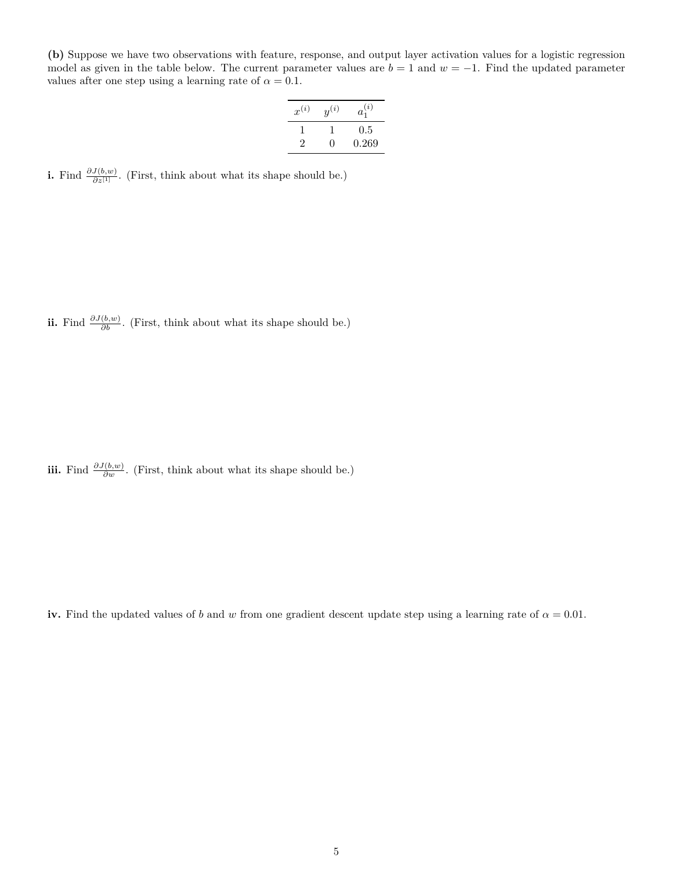**(b)** Suppose we have two observations with feature, response, and output layer activation values for a logistic regression model as given in the table below. The current parameter values are  $b = 1$  and  $w = -1$ . Find the updated parameter values after one step using a learning rate of  $\alpha = 0.1$ .

| $x^{(i)}$ | $y^{(i)}$ | $a_1^{(i)}$ |
|-----------|-----------|-------------|
|           |           | $0.5\,$     |
| 2         | 0         | 0.269       |

**i.** Find  $\frac{\partial J(b,w)}{\partial z^{[1]}}$ . (First, think about what its shape should be.)

**ii.** Find  $\frac{\partial J(b,w)}{\partial b}$ . (First, think about what its shape should be.)

**iii.** Find  $\frac{\partial J(b,w)}{\partial w}$ . (First, think about what its shape should be.)

**iv.** Find the updated values of *b* and *w* from one gradient descent update step using a learning rate of  $\alpha = 0.01$ .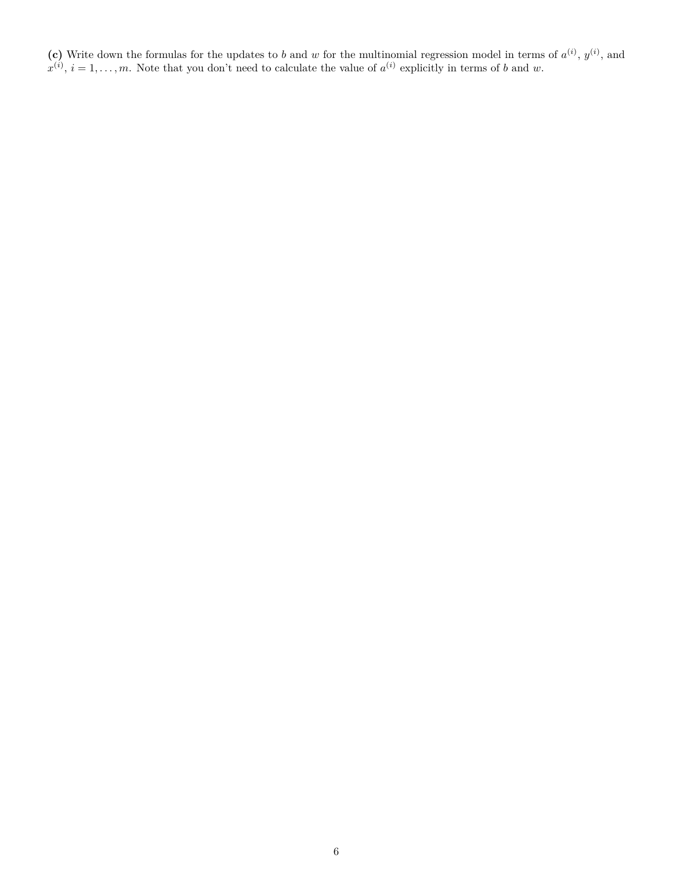(c) Write down the formulas for the updates to *b* and *w* for the multinomial regression model in terms of  $a^{(i)}$ ,  $y^{(i)}$ , and  $x^{(i)}$ ,  $i = 1, \ldots, m$ . Note that you don't need to calculate the value of  $a^{(i)}$  explicitly in terms of *b* and *w*.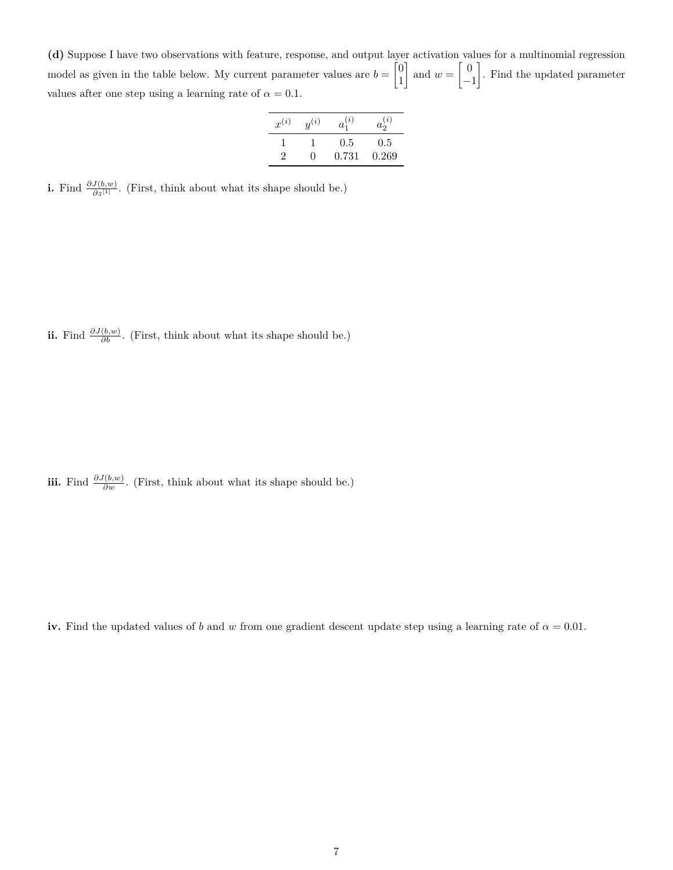**(d)** Suppose I have two observations with feature, response, and output layer activation values for a multinomial regression model as given in the table below. My current parameter values are  $b = \begin{bmatrix} 0 \\ 1 \end{bmatrix}$ 1  $\int$  and  $w = \begin{bmatrix} 0 \\ 0 \end{bmatrix}$ −1 . Find the updated parameter values after one step using a learning rate of  $\alpha = 0.1$ .

| $x^{(i)}$ | $y^{(i)}$    | $a_1^{(i)}$ | $a_2^{(i)}$ |
|-----------|--------------|-------------|-------------|
|           |              | $0.5\,$     | $0.5\,$     |
| 2         | $\mathbf{0}$ | 0.731       | 0.269       |

**i.** Find  $\frac{\partial J(b,w)}{\partial z^{[1]}}$ . (First, think about what its shape should be.)

**ii.** Find  $\frac{\partial J(b,w)}{\partial b}$ . (First, think about what its shape should be.)

**iii.** Find  $\frac{\partial J(b,w)}{\partial w}$ . (First, think about what its shape should be.)

**iv.** Find the updated values of *b* and *w* from one gradient descent update step using a learning rate of  $\alpha = 0.01$ .